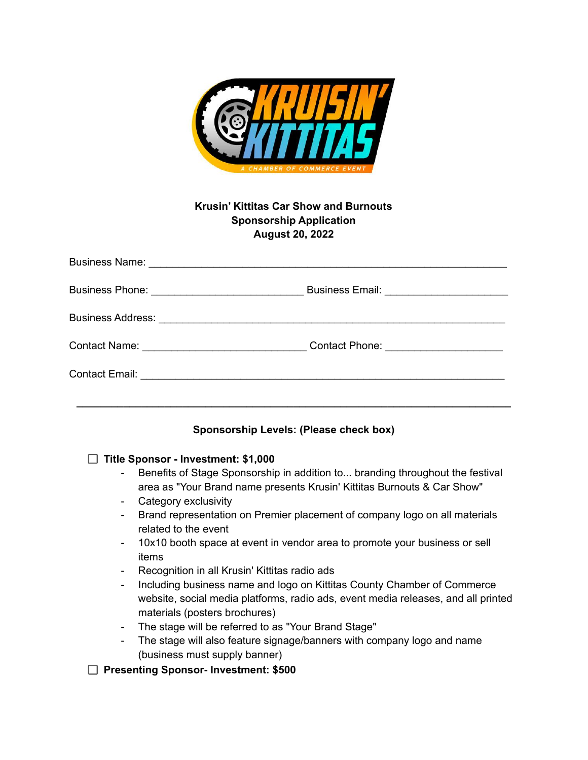

# **Krusin' Kittitas Car Show and Burnouts Sponsorship Application August 20, 2022**

### **Sponsorship Levels: (Please check box)**

#### **Title Sponsor - Investment: \$1,000**

- Benefits of Stage Sponsorship in addition to... branding throughout the festival area as "Your Brand name presents Krusin' Kittitas Burnouts & Car Show"
- Category exclusivity
- Brand representation on Premier placement of company logo on all materials related to the event
- 10x10 booth space at event in vendor area to promote your business or sell items
- Recognition in all Krusin' Kittitas radio ads
- Including business name and logo on Kittitas County Chamber of Commerce website, social media platforms, radio ads, event media releases, and all printed materials (posters brochures)
- The stage will be referred to as "Your Brand Stage"
- The stage will also feature signage/banners with company logo and name (business must supply banner)
- **Presenting Sponsor- Investment: \$500**